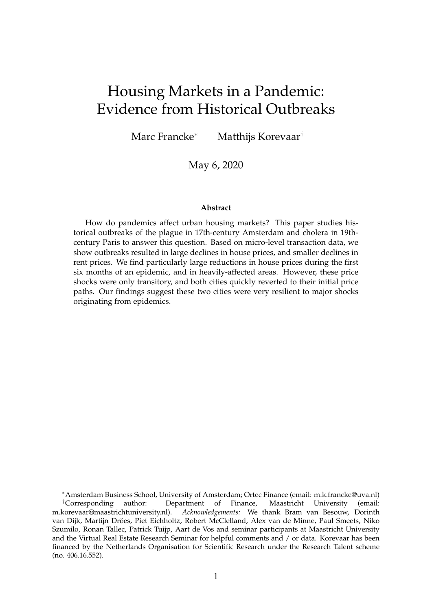# Housing Markets in a Pandemic: Evidence from Historical Outbreaks

Marc Francke<sup>∗</sup> Matthijs Korevaar†

May 6, 2020

#### **Abstract**

How do pandemics affect urban housing markets? This paper studies historical outbreaks of the plague in 17th-century Amsterdam and cholera in 19thcentury Paris to answer this question. Based on micro-level transaction data, we show outbreaks resulted in large declines in house prices, and smaller declines in rent prices. We find particularly large reductions in house prices during the first six months of an epidemic, and in heavily-affected areas. However, these price shocks were only transitory, and both cities quickly reverted to their initial price paths. Our findings suggest these two cities were very resilient to major shocks originating from epidemics.

<sup>∗</sup>Amsterdam Business School, University of Amsterdam; Ortec Finance (email: m.k.francke@uva.nl) †Corresponding author: Department of Finance, Maastricht University (email: m.korevaar@maastrichtuniversity.nl). *Acknowledgements:* We thank Bram van Besouw, Dorinth van Dijk, Martijn Dröes, Piet Eichholtz, Robert McClelland, Alex van de Minne, Paul Smeets, Niko Szumilo, Ronan Tallec, Patrick Tuijp, Aart de Vos and seminar participants at Maastricht University and the Virtual Real Estate Research Seminar for helpful comments and / or data. Korevaar has been financed by the Netherlands Organisation for Scientific Research under the Research Talent scheme (no. 406.16.552).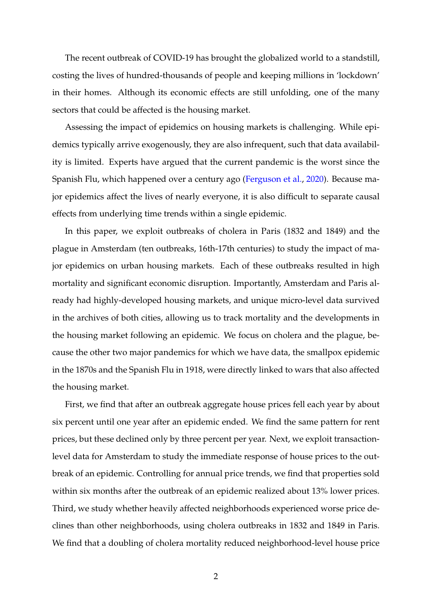The recent outbreak of COVID-19 has brought the globalized world to a standstill, costing the lives of hundred-thousands of people and keeping millions in 'lockdown' in their homes. Although its economic effects are still unfolding, one of the many sectors that could be affected is the housing market.

Assessing the impact of epidemics on housing markets is challenging. While epidemics typically arrive exogenously, they are also infrequent, such that data availability is limited. Experts have argued that the current pandemic is the worst since the Spanish Flu, which happened over a century ago [\(Ferguson et al.,](#page-24-0) [2020\)](#page-24-0). Because major epidemics affect the lives of nearly everyone, it is also difficult to separate causal effects from underlying time trends within a single epidemic.

In this paper, we exploit outbreaks of cholera in Paris (1832 and 1849) and the plague in Amsterdam (ten outbreaks, 16th-17th centuries) to study the impact of major epidemics on urban housing markets. Each of these outbreaks resulted in high mortality and significant economic disruption. Importantly, Amsterdam and Paris already had highly-developed housing markets, and unique micro-level data survived in the archives of both cities, allowing us to track mortality and the developments in the housing market following an epidemic. We focus on cholera and the plague, because the other two major pandemics for which we have data, the smallpox epidemic in the 1870s and the Spanish Flu in 1918, were directly linked to wars that also affected the housing market.

First, we find that after an outbreak aggregate house prices fell each year by about six percent until one year after an epidemic ended. We find the same pattern for rent prices, but these declined only by three percent per year. Next, we exploit transactionlevel data for Amsterdam to study the immediate response of house prices to the outbreak of an epidemic. Controlling for annual price trends, we find that properties sold within six months after the outbreak of an epidemic realized about 13% lower prices. Third, we study whether heavily affected neighborhoods experienced worse price declines than other neighborhoods, using cholera outbreaks in 1832 and 1849 in Paris. We find that a doubling of cholera mortality reduced neighborhood-level house price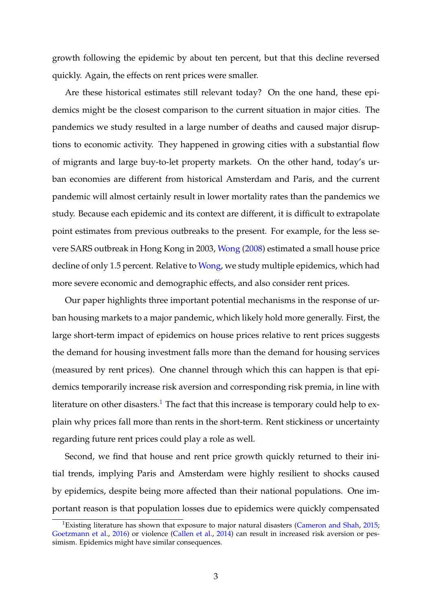growth following the epidemic by about ten percent, but that this decline reversed quickly. Again, the effects on rent prices were smaller.

Are these historical estimates still relevant today? On the one hand, these epidemics might be the closest comparison to the current situation in major cities. The pandemics we study resulted in a large number of deaths and caused major disruptions to economic activity. They happened in growing cities with a substantial flow of migrants and large buy-to-let property markets. On the other hand, today's urban economies are different from historical Amsterdam and Paris, and the current pandemic will almost certainly result in lower mortality rates than the pandemics we study. Because each epidemic and its context are different, it is difficult to extrapolate point estimates from previous outbreaks to the present. For example, for the less severe SARS outbreak in Hong Kong in 2003, [Wong](#page-25-0) [\(2008\)](#page-25-0) estimated a small house price decline of only 1.5 percent. Relative to [Wong,](#page-25-0) we study multiple epidemics, which had more severe economic and demographic effects, and also consider rent prices.

Our paper highlights three important potential mechanisms in the response of urban housing markets to a major pandemic, which likely hold more generally. First, the large short-term impact of epidemics on house prices relative to rent prices suggests the demand for housing investment falls more than the demand for housing services (measured by rent prices). One channel through which this can happen is that epidemics temporarily increase risk aversion and corresponding risk premia, in line with literature on other disasters.<sup>[1](#page-2-0)</sup> The fact that this increase is temporary could help to explain why prices fall more than rents in the short-term. Rent stickiness or uncertainty regarding future rent prices could play a role as well.

Second, we find that house and rent price growth quickly returned to their initial trends, implying Paris and Amsterdam were highly resilient to shocks caused by epidemics, despite being more affected than their national populations. One important reason is that population losses due to epidemics were quickly compensated

<span id="page-2-0"></span><sup>&</sup>lt;sup>1</sup>Existing literature has shown that exposure to major natural disasters [\(Cameron and Shah,](#page-22-0) [2015;](#page-22-0) [Goetzmann et al.,](#page-24-1) [2016\)](#page-24-1) or violence [\(Callen et al.,](#page-22-1) [2014\)](#page-22-1) can result in increased risk aversion or pessimism. Epidemics might have similar consequences.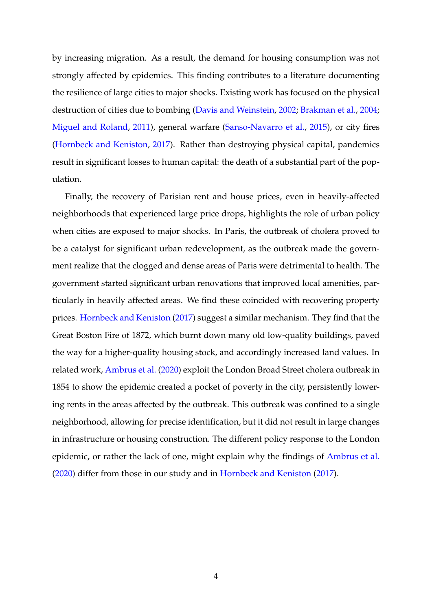by increasing migration. As a result, the demand for housing consumption was not strongly affected by epidemics. This finding contributes to a literature documenting the resilience of large cities to major shocks. Existing work has focused on the physical destruction of cities due to bombing [\(Davis and Weinstein,](#page-23-0) [2002;](#page-23-0) [Brakman et al.,](#page-22-2) [2004;](#page-22-2) [Miguel and Roland,](#page-25-1) [2011\)](#page-25-1), general warfare [\(Sanso-Navarro et al.,](#page-25-2) [2015\)](#page-25-2), or city fires [\(Hornbeck and Keniston,](#page-24-2) [2017\)](#page-24-2). Rather than destroying physical capital, pandemics result in significant losses to human capital: the death of a substantial part of the population.

Finally, the recovery of Parisian rent and house prices, even in heavily-affected neighborhoods that experienced large price drops, highlights the role of urban policy when cities are exposed to major shocks. In Paris, the outbreak of cholera proved to be a catalyst for significant urban redevelopment, as the outbreak made the government realize that the clogged and dense areas of Paris were detrimental to health. The government started significant urban renovations that improved local amenities, particularly in heavily affected areas. We find these coincided with recovering property prices. [Hornbeck and Keniston](#page-24-2) [\(2017\)](#page-24-2) suggest a similar mechanism. They find that the Great Boston Fire of 1872, which burnt down many old low-quality buildings, paved the way for a higher-quality housing stock, and accordingly increased land values. In related work, [Ambrus et al.](#page-22-3) [\(2020\)](#page-22-3) exploit the London Broad Street cholera outbreak in 1854 to show the epidemic created a pocket of poverty in the city, persistently lowering rents in the areas affected by the outbreak. This outbreak was confined to a single neighborhood, allowing for precise identification, but it did not result in large changes in infrastructure or housing construction. The different policy response to the London epidemic, or rather the lack of one, might explain why the findings of [Ambrus et al.](#page-22-3) [\(2020\)](#page-22-3) differ from those in our study and in [Hornbeck and Keniston](#page-24-2) [\(2017\)](#page-24-2).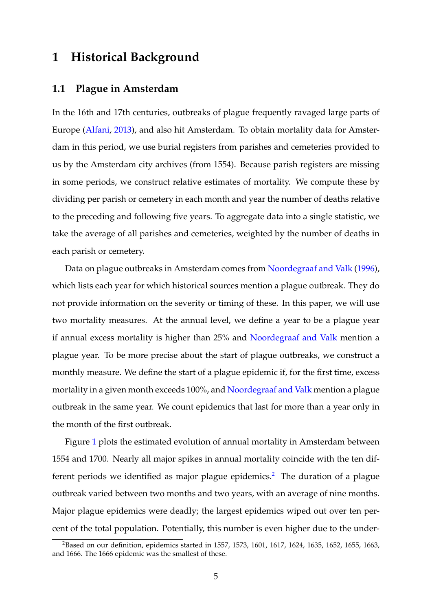## **1 Historical Background**

## **1.1 Plague in Amsterdam**

In the 16th and 17th centuries, outbreaks of plague frequently ravaged large parts of Europe [\(Alfani,](#page-22-4) [2013\)](#page-22-4), and also hit Amsterdam. To obtain mortality data for Amsterdam in this period, we use burial registers from parishes and cemeteries provided to us by the Amsterdam city archives (from 1554). Because parish registers are missing in some periods, we construct relative estimates of mortality. We compute these by dividing per parish or cemetery in each month and year the number of deaths relative to the preceding and following five years. To aggregate data into a single statistic, we take the average of all parishes and cemeteries, weighted by the number of deaths in each parish or cemetery.

Data on plague outbreaks in Amsterdam comes from [Noordegraaf and Valk](#page-25-3) [\(1996\)](#page-25-3), which lists each year for which historical sources mention a plague outbreak. They do not provide information on the severity or timing of these. In this paper, we will use two mortality measures. At the annual level, we define a year to be a plague year if annual excess mortality is higher than 25% and [Noordegraaf and Valk](#page-25-3) mention a plague year. To be more precise about the start of plague outbreaks, we construct a monthly measure. We define the start of a plague epidemic if, for the first time, excess mortality in a given month exceeds 100%, and [Noordegraaf and Valk](#page-25-3) mention a plague outbreak in the same year. We count epidemics that last for more than a year only in the month of the first outbreak.

Figure [1](#page-5-0) plots the estimated evolution of annual mortality in Amsterdam between 1554 and 1700. Nearly all major spikes in annual mortality coincide with the ten dif-ferent periods we identified as major plague epidemics.<sup>[2](#page-4-0)</sup> The duration of a plague outbreak varied between two months and two years, with an average of nine months. Major plague epidemics were deadly; the largest epidemics wiped out over ten percent of the total population. Potentially, this number is even higher due to the under-

<span id="page-4-0"></span><sup>&</sup>lt;sup>2</sup>Based on our definition, epidemics started in 1557, 1573, 1601, 1617, 1624, 1635, 1652, 1655, 1663, and 1666. The 1666 epidemic was the smallest of these.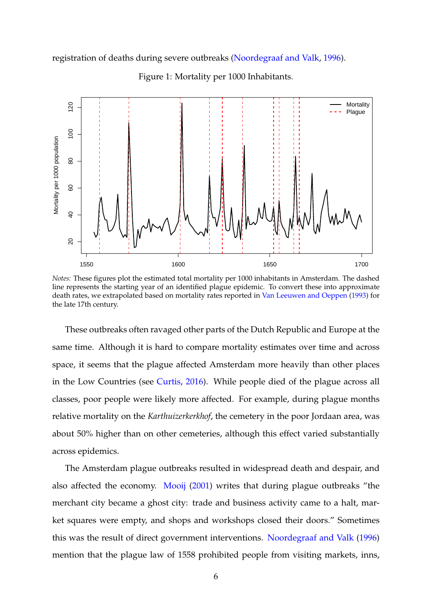registration of deaths during severe outbreaks [\(Noordegraaf and Valk,](#page-25-3) [1996\)](#page-25-3).

<span id="page-5-0"></span>

Figure 1: Mortality per 1000 Inhabitants.

*Notes:* These figures plot the estimated total mortality per 1000 inhabitants in Amsterdam. The dashed line represents the starting year of an identified plague epidemic. To convert these into approximate death rates, we extrapolated based on mortality rates reported in [Van Leeuwen and Oeppen](#page-25-4) [\(1993\)](#page-25-4) for the late 17th century.

These outbreaks often ravaged other parts of the Dutch Republic and Europe at the same time. Although it is hard to compare mortality estimates over time and across space, it seems that the plague affected Amsterdam more heavily than other places in the Low Countries (see [Curtis,](#page-23-1) [2016\)](#page-23-1). While people died of the plague across all classes, poor people were likely more affected. For example, during plague months relative mortality on the *Karthuizerkerkhof*, the cemetery in the poor Jordaan area, was about 50% higher than on other cemeteries, although this effect varied substantially across epidemics.

The Amsterdam plague outbreaks resulted in widespread death and despair, and also affected the economy. [Mooij](#page-25-5) [\(2001\)](#page-25-5) writes that during plague outbreaks "the merchant city became a ghost city: trade and business activity came to a halt, market squares were empty, and shops and workshops closed their doors." Sometimes this was the result of direct government interventions. [Noordegraaf and Valk](#page-25-3) [\(1996\)](#page-25-3) mention that the plague law of 1558 prohibited people from visiting markets, inns,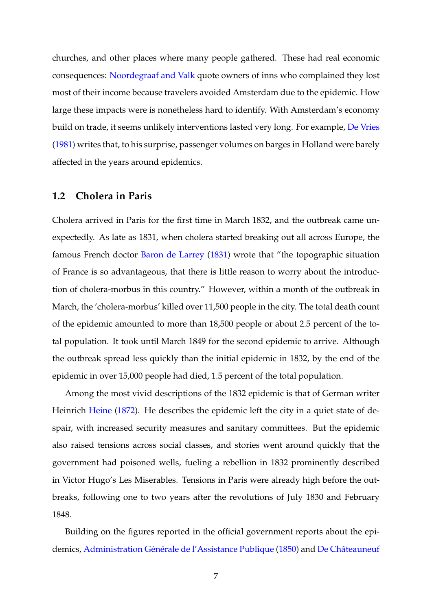churches, and other places where many people gathered. These had real economic consequences: [Noordegraaf and Valk](#page-25-3) quote owners of inns who complained they lost most of their income because travelers avoided Amsterdam due to the epidemic. How large these impacts were is nonetheless hard to identify. With Amsterdam's economy build on trade, it seems unlikely interventions lasted very long. For example, [De Vries](#page-23-2) [\(1981\)](#page-23-2) writes that, to his surprise, passenger volumes on barges in Holland were barely affected in the years around epidemics.

## **1.2 Cholera in Paris**

Cholera arrived in Paris for the first time in March 1832, and the outbreak came unexpectedly. As late as 1831, when cholera started breaking out all across Europe, the famous French doctor [Baron de Larrey](#page-22-5) [\(1831\)](#page-22-5) wrote that "the topographic situation of France is so advantageous, that there is little reason to worry about the introduction of cholera-morbus in this country." However, within a month of the outbreak in March, the 'cholera-morbus' killed over 11,500 people in the city. The total death count of the epidemic amounted to more than 18,500 people or about 2.5 percent of the total population. It took until March 1849 for the second epidemic to arrive. Although the outbreak spread less quickly than the initial epidemic in 1832, by the end of the epidemic in over 15,000 people had died, 1.5 percent of the total population.

Among the most vivid descriptions of the 1832 epidemic is that of German writer Heinrich [Heine](#page-24-3) [\(1872\)](#page-24-3). He describes the epidemic left the city in a quiet state of despair, with increased security measures and sanitary committees. But the epidemic also raised tensions across social classes, and stories went around quickly that the government had poisoned wells, fueling a rebellion in 1832 prominently described in Victor Hugo's Les Miserables. Tensions in Paris were already high before the outbreaks, following one to two years after the revolutions of July 1830 and February 1848.

Building on the figures reported in the official government reports about the epi-demics, Administration Générale de l'Assistance Publique [\(1850\)](#page-22-6) and De Châteauneuf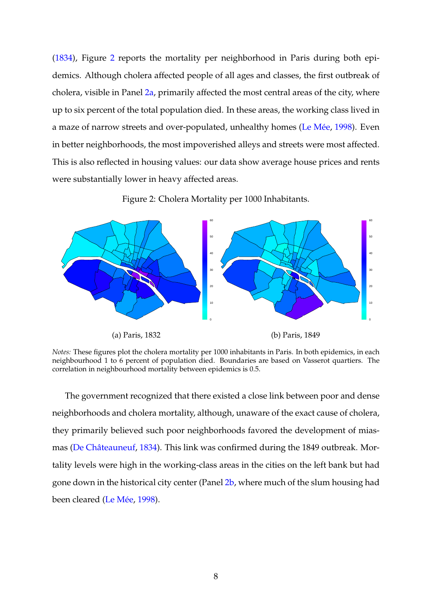[\(1834\)](#page-23-3), Figure [2](#page-7-0) reports the mortality per neighborhood in Paris during both epidemics. Although cholera affected people of all ages and classes, the first outbreak of cholera, visible in Panel [2a,](#page-7-0) primarily affected the most central areas of the city, where up to six percent of the total population died. In these areas, the working class lived in a maze of narrow streets and over-populated, unhealthy homes (Le Mée, [1998\)](#page-25-6). Even in better neighborhoods, the most impoverished alleys and streets were most affected. This is also reflected in housing values: our data show average house prices and rents were substantially lower in heavy affected areas.

<span id="page-7-0"></span>

Figure 2: Cholera Mortality per 1000 Inhabitants.

*Notes:* These figures plot the cholera mortality per 1000 inhabitants in Paris. In both epidemics, in each neighbourhood 1 to 6 percent of population died. Boundaries are based on Vasserot quartiers. The correlation in neighbourhood mortality between epidemics is 0.5.

The government recognized that there existed a close link between poor and dense neighborhoods and cholera mortality, although, unaware of the exact cause of cholera, they primarily believed such poor neighborhoods favored the development of mias-mas (De Châteauneuf, [1834\)](#page-23-3). This link was confirmed during the 1849 outbreak. Mortality levels were high in the working-class areas in the cities on the left bank but had gone down in the historical city center (Panel [2b,](#page-7-0) where much of the slum housing had been cleared (Le Mée, [1998\)](#page-25-6).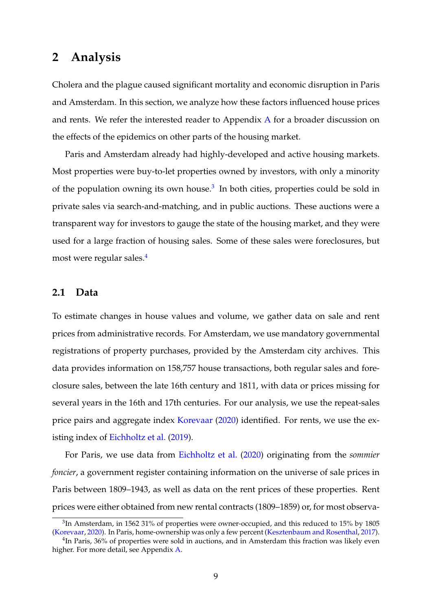## **2 Analysis**

Cholera and the plague caused significant mortality and economic disruption in Paris and Amsterdam. In this section, we analyze how these factors influenced house prices and rents. We refer the interested reader to [A](#page-26-0)ppendix  $A$  for a broader discussion on the effects of the epidemics on other parts of the housing market.

Paris and Amsterdam already had highly-developed and active housing markets. Most properties were buy-to-let properties owned by investors, with only a minority of the population owning its own house. $3$  In both cities, properties could be sold in private sales via search-and-matching, and in public auctions. These auctions were a transparent way for investors to gauge the state of the housing market, and they were used for a large fraction of housing sales. Some of these sales were foreclosures, but most were regular sales.[4](#page-8-1)

## **2.1 Data**

To estimate changes in house values and volume, we gather data on sale and rent prices from administrative records. For Amsterdam, we use mandatory governmental registrations of property purchases, provided by the Amsterdam city archives. This data provides information on 158,757 house transactions, both regular sales and foreclosure sales, between the late 16th century and 1811, with data or prices missing for several years in the 16th and 17th centuries. For our analysis, we use the repeat-sales price pairs and aggregate index [Korevaar](#page-25-7) [\(2020\)](#page-25-7) identified. For rents, we use the existing index of [Eichholtz et al.](#page-23-4) [\(2019\)](#page-23-4).

For Paris, we use data from [Eichholtz et al.](#page-23-5) [\(2020\)](#page-23-5) originating from the *sommier foncier*, a government register containing information on the universe of sale prices in Paris between 1809–1943, as well as data on the rent prices of these properties. Rent prices were either obtained from new rental contracts (1809–1859) or, for most observa-

<span id="page-8-0"></span> ${}^{3}$ In Amsterdam, in 1562 31% of properties were owner-occupied, and this reduced to 15% by 1805 [\(Korevaar,](#page-25-7) [2020\)](#page-25-7). In Paris, home-ownership was only a few percent [\(Kesztenbaum and Rosenthal,](#page-25-8) [2017\)](#page-25-8).

<span id="page-8-1"></span><sup>&</sup>lt;sup>4</sup>In Paris, 36% of properties were sold in auctions, and in Amsterdam this fraction was likely even higher. For more detail, see Appendix [A.](#page-26-0)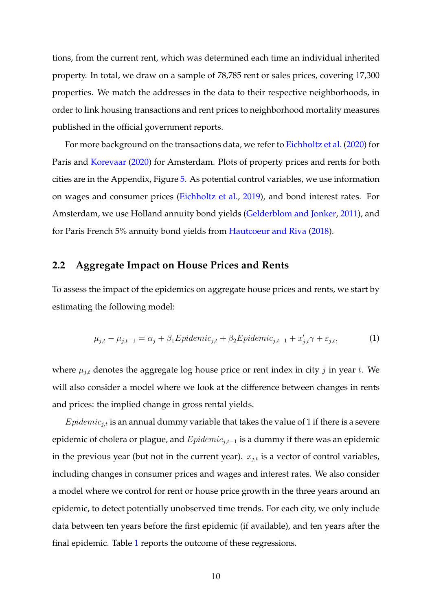tions, from the current rent, which was determined each time an individual inherited property. In total, we draw on a sample of 78,785 rent or sales prices, covering 17,300 properties. We match the addresses in the data to their respective neighborhoods, in order to link housing transactions and rent prices to neighborhood mortality measures published in the official government reports.

For more background on the transactions data, we refer to [Eichholtz et al.](#page-23-5) [\(2020\)](#page-23-5) for Paris and [Korevaar](#page-25-7) [\(2020\)](#page-25-7) for Amsterdam. Plots of property prices and rents for both cities are in the Appendix, Figure [5.](#page-35-0) As potential control variables, we use information on wages and consumer prices [\(Eichholtz et al.,](#page-23-4) [2019\)](#page-23-4), and bond interest rates. For Amsterdam, we use Holland annuity bond yields [\(Gelderblom and Jonker,](#page-24-4) [2011\)](#page-24-4), and for Paris French 5% annuity bond yields from [Hautcoeur and Riva](#page-24-5) [\(2018\)](#page-24-5).

## **2.2 Aggregate Impact on House Prices and Rents**

To assess the impact of the epidemics on aggregate house prices and rents, we start by estimating the following model:

<span id="page-9-0"></span>
$$
\mu_{j,t} - \mu_{j,t-1} = \alpha_j + \beta_1 Epidemic_{j,t} + \beta_2 Epidemic_{j,t-1} + x'_{j,t}\gamma + \varepsilon_{j,t},\tag{1}
$$

where  $\mu_{j,t}$  denotes the aggregate log house price or rent index in city j in year t. We will also consider a model where we look at the difference between changes in rents and prices: the implied change in gross rental yields.

 $Epidemic_{j,t}$  is an annual dummy variable that takes the value of 1 if there is a severe epidemic of cholera or plague, and  $Epidemic_{i,t-1}$  is a dummy if there was an epidemic in the previous year (but not in the current year).  $x_{j,t}$  is a vector of control variables, including changes in consumer prices and wages and interest rates. We also consider a model where we control for rent or house price growth in the three years around an epidemic, to detect potentially unobserved time trends. For each city, we only include data between ten years before the first epidemic (if available), and ten years after the final epidemic. Table [1](#page-10-0) reports the outcome of these regressions.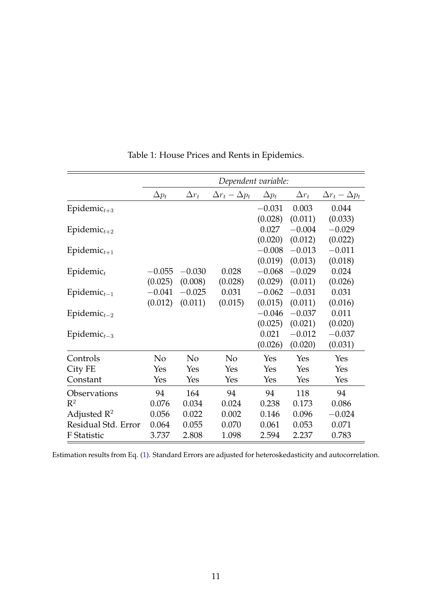<span id="page-10-0"></span>

|                         | Dependent variable: |                |                           |              |              |                           |
|-------------------------|---------------------|----------------|---------------------------|--------------|--------------|---------------------------|
|                         | $\Delta p_t$        | $\Delta r_t$   | $\Delta r_t - \Delta p_t$ | $\Delta p_t$ | $\Delta r_t$ | $\Delta r_t - \Delta p_t$ |
| Epidemic $_{t+3}$       |                     |                |                           | $-0.031$     | 0.003        | 0.044                     |
|                         |                     |                |                           | (0.028)      | (0.011)      | (0.033)                   |
| Epidemic $_{t+2}$       |                     |                |                           | 0.027        | $-0.004$     | $-0.029$                  |
|                         |                     |                |                           | (0.020)      | (0.012)      | (0.022)                   |
| Epidemic $_{t+1}$       |                     |                |                           | $-0.008$     | $-0.013$     | $-0.011$                  |
|                         |                     |                |                           | (0.019)      | (0.013)      | (0.018)                   |
| Epidemic $_t$           | $-0.055$            | $-0.030$       | 0.028                     | $-0.068$     | $-0.029$     | 0.024                     |
|                         | (0.025)             | (0.008)        | (0.028)                   | (0.029)      | (0.011)      | (0.026)                   |
| $Epidemict-1$           | $-0.041$            | $-0.025$       | 0.031                     | $-0.062$     | $-0.031$     | 0.031                     |
|                         | (0.012)             | (0.011)        | (0.015)                   | (0.015)      | (0.011)      | (0.016)                   |
| Epidemic $_{t-2}$       |                     |                |                           | $-0.046$     | $-0.037$     | 0.011                     |
|                         |                     |                |                           | (0.025)      | (0.021)      | (0.020)                   |
| $Epidemict-3$           |                     |                |                           | 0.021        | $-0.012$     | $-0.037$                  |
|                         |                     |                |                           | (0.026)      | (0.020)      | (0.031)                   |
| Controls                | N <sub>o</sub>      | N <sub>o</sub> | No                        | Yes          | Yes          | Yes                       |
| City FE                 | Yes                 | Yes            | Yes                       | Yes          | Yes          | Yes                       |
| Constant                | Yes                 | Yes            | Yes                       | Yes          | Yes          | Yes                       |
| Observations            | 94                  | 164            | 94                        | 94           | 118          | 94                        |
| $\mathbb{R}^2$          | 0.076               | 0.034          | 0.024                     | 0.238        | 0.173        | 0.086                     |
| Adjusted $\mathbb{R}^2$ | 0.056               | 0.022          | 0.002                     | 0.146        | 0.096        | $-0.024$                  |
| Residual Std. Error     | 0.064               | 0.055          | 0.070                     | 0.061        | 0.053        | 0.071                     |
| F Statistic             | 3.737               | 2.808          | 1.098                     | 2.594        | 2.237        | 0.783                     |

Table 1: House Prices and Rents in Epidemics.

Estimation results from Eq. [\(1\)](#page-9-0). Standard Errors are adjusted for heteroskedasticity and autocorrelation.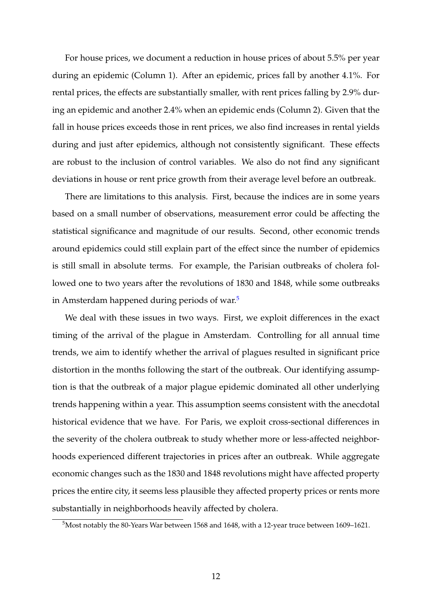For house prices, we document a reduction in house prices of about 5.5% per year during an epidemic (Column 1). After an epidemic, prices fall by another 4.1%. For rental prices, the effects are substantially smaller, with rent prices falling by 2.9% during an epidemic and another 2.4% when an epidemic ends (Column 2). Given that the fall in house prices exceeds those in rent prices, we also find increases in rental yields during and just after epidemics, although not consistently significant. These effects are robust to the inclusion of control variables. We also do not find any significant deviations in house or rent price growth from their average level before an outbreak.

There are limitations to this analysis. First, because the indices are in some years based on a small number of observations, measurement error could be affecting the statistical significance and magnitude of our results. Second, other economic trends around epidemics could still explain part of the effect since the number of epidemics is still small in absolute terms. For example, the Parisian outbreaks of cholera followed one to two years after the revolutions of 1830 and 1848, while some outbreaks in Amsterdam happened during periods of war.<sup>[5](#page-11-0)</sup>

We deal with these issues in two ways. First, we exploit differences in the exact timing of the arrival of the plague in Amsterdam. Controlling for all annual time trends, we aim to identify whether the arrival of plagues resulted in significant price distortion in the months following the start of the outbreak. Our identifying assumption is that the outbreak of a major plague epidemic dominated all other underlying trends happening within a year. This assumption seems consistent with the anecdotal historical evidence that we have. For Paris, we exploit cross-sectional differences in the severity of the cholera outbreak to study whether more or less-affected neighborhoods experienced different trajectories in prices after an outbreak. While aggregate economic changes such as the 1830 and 1848 revolutions might have affected property prices the entire city, it seems less plausible they affected property prices or rents more substantially in neighborhoods heavily affected by cholera.

<span id="page-11-0"></span><sup>5</sup>Most notably the 80-Years War between 1568 and 1648, with a 12-year truce between 1609–1621.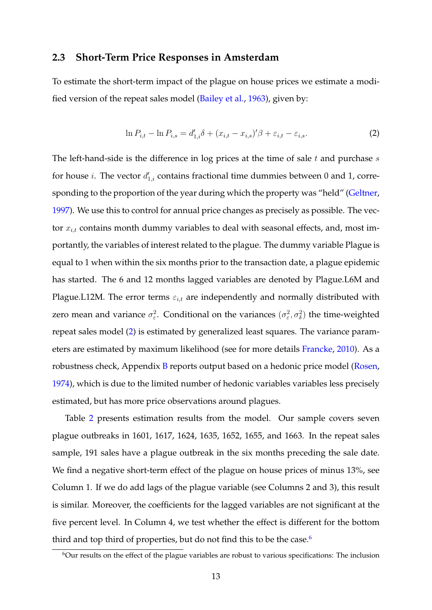#### <span id="page-12-2"></span>**2.3 Short-Term Price Responses in Amsterdam**

To estimate the short-term impact of the plague on house prices we estimate a modified version of the repeat sales model [\(Bailey et al.,](#page-22-7) [1963\)](#page-22-7), given by:

<span id="page-12-0"></span>
$$
\ln P_{i,t} - \ln P_{i,s} = d'_{1,i}\delta + (x_{i,t} - x_{i,s})'\beta + \varepsilon_{i,t} - \varepsilon_{i,s}.
$$
 (2)

The left-hand-side is the difference in log prices at the time of sale  $t$  and purchase  $s$ for house *i*. The vector  $d'_{1,i}$  contains fractional time dummies between 0 and 1, corresponding to the proportion of the year during which the property was "held" [\(Geltner,](#page-24-6) [1997\)](#page-24-6). We use this to control for annual price changes as precisely as possible. The vector  $x_{i,t}$  contains month dummy variables to deal with seasonal effects, and, most importantly, the variables of interest related to the plague. The dummy variable Plague is equal to 1 when within the six months prior to the transaction date, a plague epidemic has started. The 6 and 12 months lagged variables are denoted by Plague.L6M and Plague.L12M. The error terms  $\varepsilon_{i,t}$  are independently and normally distributed with zero mean and variance  $\sigma_{\varepsilon}^2$ . Conditional on the variances  $(\sigma_{\varepsilon}^2, \sigma_{\delta}^2)$  the time-weighted repeat sales model [\(2\)](#page-12-0) is estimated by generalized least squares. The variance parameters are estimated by maximum likelihood (see for more details [Francke,](#page-24-7) [2010\)](#page-24-7). As a robustness check, Appendix [B](#page-33-0) reports output based on a hedonic price model [\(Rosen,](#page-25-9) [1974\)](#page-25-9), which is due to the limited number of hedonic variables variables less precisely estimated, but has more price observations around plagues.

Table [2](#page-13-0) presents estimation results from the model. Our sample covers seven plague outbreaks in 1601, 1617, 1624, 1635, 1652, 1655, and 1663. In the repeat sales sample, 191 sales have a plague outbreak in the six months preceding the sale date. We find a negative short-term effect of the plague on house prices of minus 13%, see Column 1. If we do add lags of the plague variable (see Columns 2 and 3), this result is similar. Moreover, the coefficients for the lagged variables are not significant at the five percent level. In Column 4, we test whether the effect is different for the bottom third and top third of properties, but do not find this to be the case. $6$ 

<span id="page-12-1"></span><sup>&</sup>lt;sup>6</sup>Our results on the effect of the plague variables are robust to various specifications: The inclusion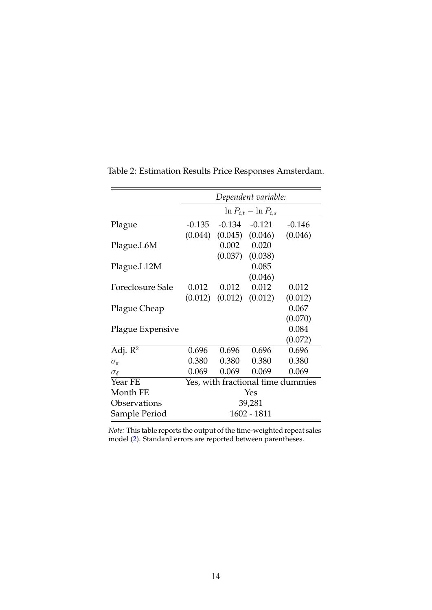|                         | Dependent variable:               |        |                               |          |
|-------------------------|-----------------------------------|--------|-------------------------------|----------|
|                         | $\ln P_{i,t} - \ln P_{i,s}$       |        |                               |          |
| Plague                  | $-0.135$                          | -0.134 | $-0.121$                      | $-0.146$ |
|                         | (0.044)                           |        | $(0.045)$ $(0.046)$           | (0.046)  |
| Plague.L6M              |                                   | 0.002  | 0.020                         |          |
|                         |                                   |        | $(0.037)$ $(0.038)$           |          |
| Plague.L12M             |                                   |        | 0.085                         |          |
|                         |                                   |        | (0.046)                       |          |
| <b>Foreclosure Sale</b> | 0.012                             | 0.012  | 0.012                         | 0.012    |
|                         |                                   |        | $(0.012)$ $(0.012)$ $(0.012)$ | (0.012)  |
| Plague Cheap            |                                   |        |                               | 0.067    |
|                         |                                   |        |                               | (0.070)  |
| Plague Expensive        |                                   |        |                               | 0.084    |
|                         |                                   |        |                               | (0.072)  |
| Adj. $\overline{R^2}$   | 0.696                             | 0.696  | 0.696                         | 0.696    |
| $\sigma_{\varepsilon}$  | 0.380                             | 0.380  | 0.380                         | 0.380    |
| $\sigma_{\delta}$       | 0.069                             | 0.069  | 0.069                         | 0.069    |
| Year FE                 | Yes, with fractional time dummies |        |                               |          |
| Month FE                | Yes                               |        |                               |          |
| Observations            | 39,281                            |        |                               |          |
| Sample Period           | 1602 - 1811                       |        |                               |          |

<span id="page-13-0"></span>Table 2: Estimation Results Price Responses Amsterdam.

*Note:* This table reports the output of the time-weighted repeat sales model [\(2\)](#page-12-0). Standard errors are reported between parentheses.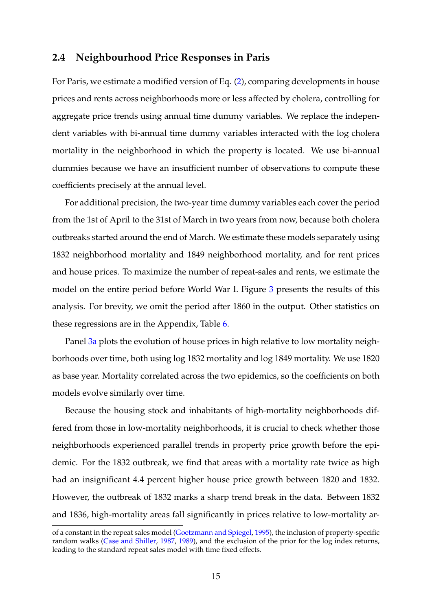### **2.4 Neighbourhood Price Responses in Paris**

For Paris, we estimate a modified version of Eq. [\(2\)](#page-12-0), comparing developments in house prices and rents across neighborhoods more or less affected by cholera, controlling for aggregate price trends using annual time dummy variables. We replace the independent variables with bi-annual time dummy variables interacted with the log cholera mortality in the neighborhood in which the property is located. We use bi-annual dummies because we have an insufficient number of observations to compute these coefficients precisely at the annual level.

For additional precision, the two-year time dummy variables each cover the period from the 1st of April to the 31st of March in two years from now, because both cholera outbreaks started around the end of March. We estimate these models separately using 1832 neighborhood mortality and 1849 neighborhood mortality, and for rent prices and house prices. To maximize the number of repeat-sales and rents, we estimate the model on the entire period before World War I. Figure [3](#page-15-0) presents the results of this analysis. For brevity, we omit the period after 1860 in the output. Other statistics on these regressions are in the Appendix, Table [6.](#page-36-0)

Panel [3a](#page-15-0) plots the evolution of house prices in high relative to low mortality neighborhoods over time, both using log 1832 mortality and log 1849 mortality. We use 1820 as base year. Mortality correlated across the two epidemics, so the coefficients on both models evolve similarly over time.

Because the housing stock and inhabitants of high-mortality neighborhoods differed from those in low-mortality neighborhoods, it is crucial to check whether those neighborhoods experienced parallel trends in property price growth before the epidemic. For the 1832 outbreak, we find that areas with a mortality rate twice as high had an insignificant 4.4 percent higher house price growth between 1820 and 1832. However, the outbreak of 1832 marks a sharp trend break in the data. Between 1832 and 1836, high-mortality areas fall significantly in prices relative to low-mortality ar-

of a constant in the repeat sales model [\(Goetzmann and Spiegel,](#page-24-8) [1995\)](#page-24-8), the inclusion of property-specific random walks [\(Case and Shiller,](#page-23-6) [1987,](#page-23-6) [1989\)](#page-23-7), and the exclusion of the prior for the log index returns, leading to the standard repeat sales model with time fixed effects.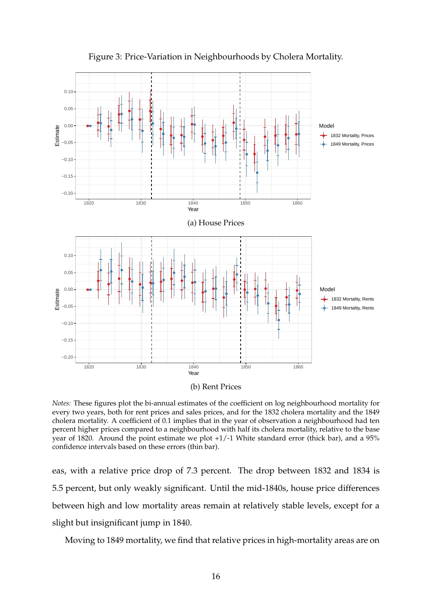<span id="page-15-0"></span>

Figure 3: Price-Variation in Neighbourhoods by Cholera Mortality.

*Notes:* These figures plot the bi-annual estimates of the coefficient on log neighbourhood mortality for every two years, both for rent prices and sales prices, and for the 1832 cholera mortality and the 1849 cholera mortality. A coefficient of 0.1 implies that in the year of observation a neighbourhood had ten percent higher prices compared to a neighbourhood with half its cholera mortality, relative to the base year of 1820. Around the point estimate we plot +1/-1 White standard error (thick bar), and a 95% confidence intervals based on these errors (thin bar).

eas, with a relative price drop of 7.3 percent. The drop between 1832 and 1834 is 5.5 percent, but only weakly significant. Until the mid-1840s, house price differences between high and low mortality areas remain at relatively stable levels, except for a slight but insignificant jump in 1840.

Moving to 1849 mortality, we find that relative prices in high-mortality areas are on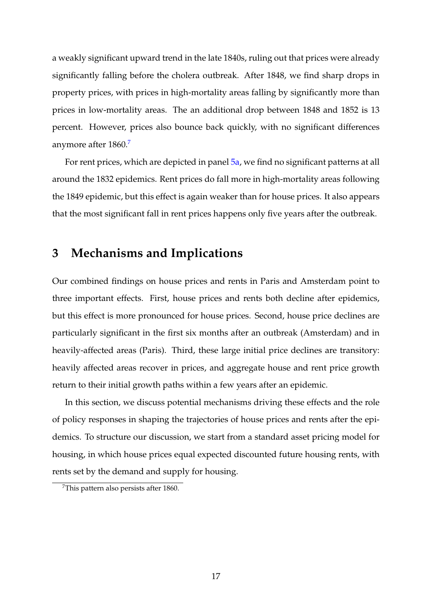a weakly significant upward trend in the late 1840s, ruling out that prices were already significantly falling before the cholera outbreak. After 1848, we find sharp drops in property prices, with prices in high-mortality areas falling by significantly more than prices in low-mortality areas. The an additional drop between 1848 and 1852 is 13 percent. However, prices also bounce back quickly, with no significant differences anymore after 1860.<sup>[7](#page-16-0)</sup>

For rent prices, which are depicted in panel [5a,](#page-35-0) we find no significant patterns at all around the 1832 epidemics. Rent prices do fall more in high-mortality areas following the 1849 epidemic, but this effect is again weaker than for house prices. It also appears that the most significant fall in rent prices happens only five years after the outbreak.

## **3 Mechanisms and Implications**

Our combined findings on house prices and rents in Paris and Amsterdam point to three important effects. First, house prices and rents both decline after epidemics, but this effect is more pronounced for house prices. Second, house price declines are particularly significant in the first six months after an outbreak (Amsterdam) and in heavily-affected areas (Paris). Third, these large initial price declines are transitory: heavily affected areas recover in prices, and aggregate house and rent price growth return to their initial growth paths within a few years after an epidemic.

In this section, we discuss potential mechanisms driving these effects and the role of policy responses in shaping the trajectories of house prices and rents after the epidemics. To structure our discussion, we start from a standard asset pricing model for housing, in which house prices equal expected discounted future housing rents, with rents set by the demand and supply for housing.

<span id="page-16-0"></span><sup>7</sup>This pattern also persists after 1860.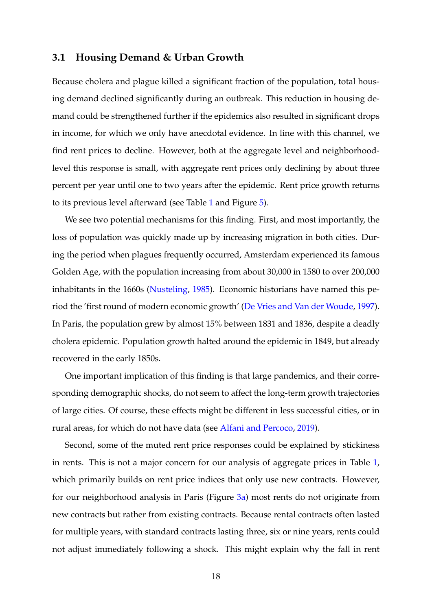### **3.1 Housing Demand & Urban Growth**

Because cholera and plague killed a significant fraction of the population, total housing demand declined significantly during an outbreak. This reduction in housing demand could be strengthened further if the epidemics also resulted in significant drops in income, for which we only have anecdotal evidence. In line with this channel, we find rent prices to decline. However, both at the aggregate level and neighborhoodlevel this response is small, with aggregate rent prices only declining by about three percent per year until one to two years after the epidemic. Rent price growth returns to its previous level afterward (see Table [1](#page-10-0) and Figure [5\)](#page-35-0).

We see two potential mechanisms for this finding. First, and most importantly, the loss of population was quickly made up by increasing migration in both cities. During the period when plagues frequently occurred, Amsterdam experienced its famous Golden Age, with the population increasing from about 30,000 in 1580 to over 200,000 inhabitants in the 1660s [\(Nusteling,](#page-25-10) [1985\)](#page-25-10). Economic historians have named this period the 'first round of modern economic growth' [\(De Vries and Van der Woude,](#page-23-8) [1997\)](#page-23-8). In Paris, the population grew by almost 15% between 1831 and 1836, despite a deadly cholera epidemic. Population growth halted around the epidemic in 1849, but already recovered in the early 1850s.

One important implication of this finding is that large pandemics, and their corresponding demographic shocks, do not seem to affect the long-term growth trajectories of large cities. Of course, these effects might be different in less successful cities, or in rural areas, for which do not have data (see [Alfani and Percoco,](#page-22-8) [2019\)](#page-22-8).

Second, some of the muted rent price responses could be explained by stickiness in rents. This is not a major concern for our analysis of aggregate prices in Table [1,](#page-10-0) which primarily builds on rent price indices that only use new contracts. However, for our neighborhood analysis in Paris (Figure [3a\)](#page-15-0) most rents do not originate from new contracts but rather from existing contracts. Because rental contracts often lasted for multiple years, with standard contracts lasting three, six or nine years, rents could not adjust immediately following a shock. This might explain why the fall in rent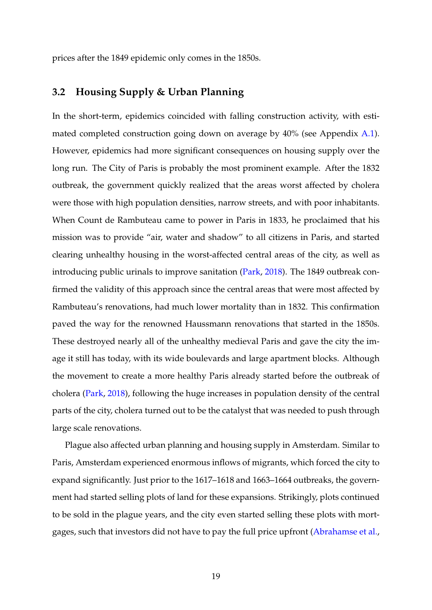prices after the 1849 epidemic only comes in the 1850s.

## **3.2 Housing Supply & Urban Planning**

In the short-term, epidemics coincided with falling construction activity, with esti-mated completed construction going down on average by 40% (see Appendix [A.1\)](#page-26-1). However, epidemics had more significant consequences on housing supply over the long run. The City of Paris is probably the most prominent example. After the 1832 outbreak, the government quickly realized that the areas worst affected by cholera were those with high population densities, narrow streets, and with poor inhabitants. When Count de Rambuteau came to power in Paris in 1833, he proclaimed that his mission was to provide "air, water and shadow" to all citizens in Paris, and started clearing unhealthy housing in the worst-affected central areas of the city, as well as introducing public urinals to improve sanitation [\(Park,](#page-25-11) [2018\)](#page-25-11). The 1849 outbreak confirmed the validity of this approach since the central areas that were most affected by Rambuteau's renovations, had much lower mortality than in 1832. This confirmation paved the way for the renowned Haussmann renovations that started in the 1850s. These destroyed nearly all of the unhealthy medieval Paris and gave the city the image it still has today, with its wide boulevards and large apartment blocks. Although the movement to create a more healthy Paris already started before the outbreak of cholera [\(Park,](#page-25-11) [2018\)](#page-25-11), following the huge increases in population density of the central parts of the city, cholera turned out to be the catalyst that was needed to push through large scale renovations.

Plague also affected urban planning and housing supply in Amsterdam. Similar to Paris, Amsterdam experienced enormous inflows of migrants, which forced the city to expand significantly. Just prior to the 1617–1618 and 1663–1664 outbreaks, the government had started selling plots of land for these expansions. Strikingly, plots continued to be sold in the plague years, and the city even started selling these plots with mortgages, such that investors did not have to pay the full price upfront [\(Abrahamse et al.,](#page-22-9)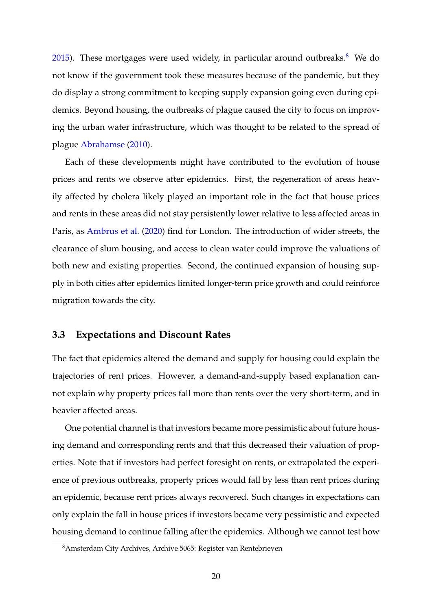[2015\)](#page-22-9). These mortgages were used widely, in particular around outbreaks.<sup>[8](#page-19-0)</sup> We do not know if the government took these measures because of the pandemic, but they do display a strong commitment to keeping supply expansion going even during epidemics. Beyond housing, the outbreaks of plague caused the city to focus on improving the urban water infrastructure, which was thought to be related to the spread of plague [Abrahamse](#page-22-10) [\(2010\)](#page-22-10).

Each of these developments might have contributed to the evolution of house prices and rents we observe after epidemics. First, the regeneration of areas heavily affected by cholera likely played an important role in the fact that house prices and rents in these areas did not stay persistently lower relative to less affected areas in Paris, as [Ambrus et al.](#page-22-3) [\(2020\)](#page-22-3) find for London. The introduction of wider streets, the clearance of slum housing, and access to clean water could improve the valuations of both new and existing properties. Second, the continued expansion of housing supply in both cities after epidemics limited longer-term price growth and could reinforce migration towards the city.

## **3.3 Expectations and Discount Rates**

The fact that epidemics altered the demand and supply for housing could explain the trajectories of rent prices. However, a demand-and-supply based explanation cannot explain why property prices fall more than rents over the very short-term, and in heavier affected areas.

One potential channel is that investors became more pessimistic about future housing demand and corresponding rents and that this decreased their valuation of properties. Note that if investors had perfect foresight on rents, or extrapolated the experience of previous outbreaks, property prices would fall by less than rent prices during an epidemic, because rent prices always recovered. Such changes in expectations can only explain the fall in house prices if investors became very pessimistic and expected housing demand to continue falling after the epidemics. Although we cannot test how

<span id="page-19-0"></span><sup>8</sup>Amsterdam City Archives, Archive 5065: Register van Rentebrieven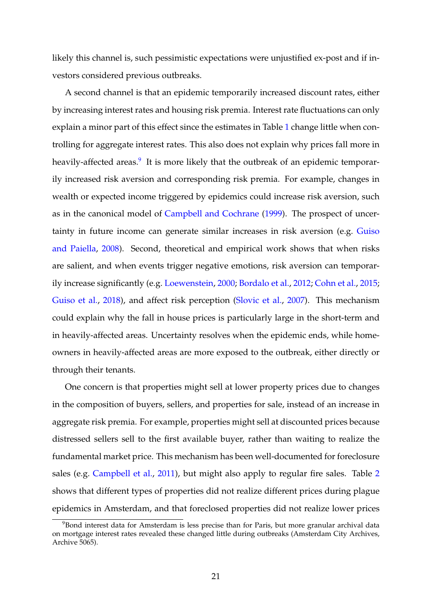likely this channel is, such pessimistic expectations were unjustified ex-post and if investors considered previous outbreaks.

A second channel is that an epidemic temporarily increased discount rates, either by increasing interest rates and housing risk premia. Interest rate fluctuations can only explain a minor part of this effect since the estimates in Table [1](#page-10-0) change little when controlling for aggregate interest rates. This also does not explain why prices fall more in heavily-affected areas.<sup>[9](#page-20-0)</sup> It is more likely that the outbreak of an epidemic temporarily increased risk aversion and corresponding risk premia. For example, changes in wealth or expected income triggered by epidemics could increase risk aversion, such as in the canonical model of [Campbell and Cochrane](#page-23-9) [\(1999\)](#page-23-9). The prospect of uncertainty in future income can generate similar increases in risk aversion (e.g. [Guiso](#page-24-9) [and Paiella,](#page-24-9) [2008\)](#page-24-9). Second, theoretical and empirical work shows that when risks are salient, and when events trigger negative emotions, risk aversion can temporarily increase significantly (e.g. [Loewenstein,](#page-25-12) [2000;](#page-25-12) [Bordalo et al.,](#page-22-11) [2012;](#page-22-11) [Cohn et al.,](#page-23-10) [2015;](#page-23-10) [Guiso et al.,](#page-24-10) [2018\)](#page-24-10), and affect risk perception [\(Slovic et al.,](#page-25-13) [2007\)](#page-25-13). This mechanism could explain why the fall in house prices is particularly large in the short-term and in heavily-affected areas. Uncertainty resolves when the epidemic ends, while homeowners in heavily-affected areas are more exposed to the outbreak, either directly or through their tenants.

One concern is that properties might sell at lower property prices due to changes in the composition of buyers, sellers, and properties for sale, instead of an increase in aggregate risk premia. For example, properties might sell at discounted prices because distressed sellers sell to the first available buyer, rather than waiting to realize the fundamental market price. This mechanism has been well-documented for foreclosure sales (e.g. [Campbell et al.,](#page-23-11) [2011\)](#page-23-11), but might also apply to regular fire sales. Table [2](#page-13-0) shows that different types of properties did not realize different prices during plague epidemics in Amsterdam, and that foreclosed properties did not realize lower prices

<span id="page-20-0"></span> $98$ Bond interest data for Amsterdam is less precise than for Paris, but more granular archival data on mortgage interest rates revealed these changed little during outbreaks (Amsterdam City Archives, Archive 5065).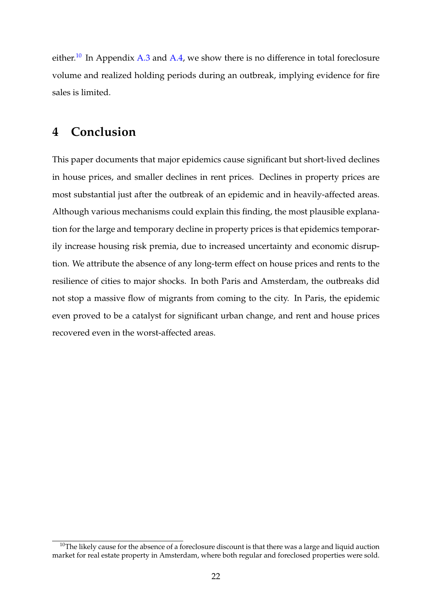either.<sup>[10](#page-21-0)</sup> In Appendix [A.3](#page-29-0) and [A.4,](#page-31-0) we show there is no difference in total foreclosure volume and realized holding periods during an outbreak, implying evidence for fire sales is limited.

## **4 Conclusion**

This paper documents that major epidemics cause significant but short-lived declines in house prices, and smaller declines in rent prices. Declines in property prices are most substantial just after the outbreak of an epidemic and in heavily-affected areas. Although various mechanisms could explain this finding, the most plausible explanation for the large and temporary decline in property prices is that epidemics temporarily increase housing risk premia, due to increased uncertainty and economic disruption. We attribute the absence of any long-term effect on house prices and rents to the resilience of cities to major shocks. In both Paris and Amsterdam, the outbreaks did not stop a massive flow of migrants from coming to the city. In Paris, the epidemic even proved to be a catalyst for significant urban change, and rent and house prices recovered even in the worst-affected areas.

<span id="page-21-0"></span> $10$ The likely cause for the absence of a foreclosure discount is that there was a large and liquid auction market for real estate property in Amsterdam, where both regular and foreclosed properties were sold.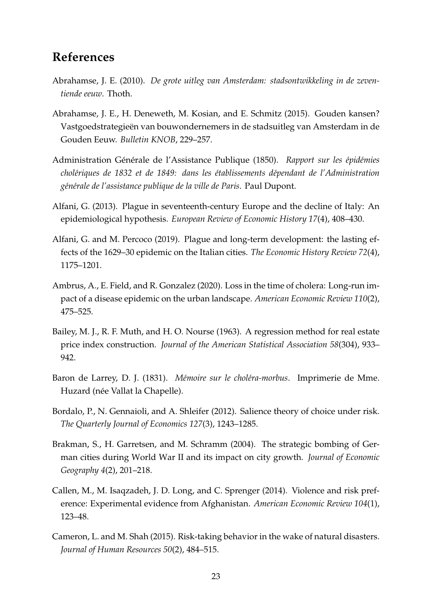## **References**

- <span id="page-22-10"></span>Abrahamse, J. E. (2010). *De grote uitleg van Amsterdam: stadsontwikkeling in de zeventiende eeuw*. Thoth.
- <span id="page-22-9"></span>Abrahamse, J. E., H. Deneweth, M. Kosian, and E. Schmitz (2015). Gouden kansen? Vastgoedstrategieen van bouwondernemers in de stadsuitleg van Amsterdam in de ¨ Gouden Eeuw. *Bulletin KNOB*, 229–257.
- <span id="page-22-6"></span>Administration Générale de l'Assistance Publique (1850). Rapport sur les épidémies *chol´eriques de 1832 et de 1849: dans les ´etablissements d´ependant de l'Administration g´en´erale de l'assistance publique de la ville de Paris*. Paul Dupont.
- <span id="page-22-4"></span>Alfani, G. (2013). Plague in seventeenth-century Europe and the decline of Italy: An epidemiological hypothesis. *European Review of Economic History 17*(4), 408–430.
- <span id="page-22-8"></span>Alfani, G. and M. Percoco (2019). Plague and long-term development: the lasting effects of the 1629–30 epidemic on the Italian cities. *The Economic History Review 72*(4), 1175–1201.
- <span id="page-22-3"></span>Ambrus, A., E. Field, and R. Gonzalez (2020). Loss in the time of cholera: Long-run impact of a disease epidemic on the urban landscape. *American Economic Review 110*(2), 475–525.
- <span id="page-22-7"></span>Bailey, M. J., R. F. Muth, and H. O. Nourse (1963). A regression method for real estate price index construction. *Journal of the American Statistical Association 58*(304), 933– 942.
- <span id="page-22-5"></span>Baron de Larrey, D. J. (1831). *Mémoire sur le choléra-morbus*. Imprimerie de Mme. Huzard (née Vallat la Chapelle).
- <span id="page-22-11"></span>Bordalo, P., N. Gennaioli, and A. Shleifer (2012). Salience theory of choice under risk. *The Quarterly Journal of Economics 127*(3), 1243–1285.
- <span id="page-22-2"></span>Brakman, S., H. Garretsen, and M. Schramm (2004). The strategic bombing of German cities during World War II and its impact on city growth. *Journal of Economic Geography 4*(2), 201–218.
- <span id="page-22-1"></span>Callen, M., M. Isaqzadeh, J. D. Long, and C. Sprenger (2014). Violence and risk preference: Experimental evidence from Afghanistan. *American Economic Review 104*(1), 123–48.
- <span id="page-22-0"></span>Cameron, L. and M. Shah (2015). Risk-taking behavior in the wake of natural disasters. *Journal of Human Resources 50*(2), 484–515.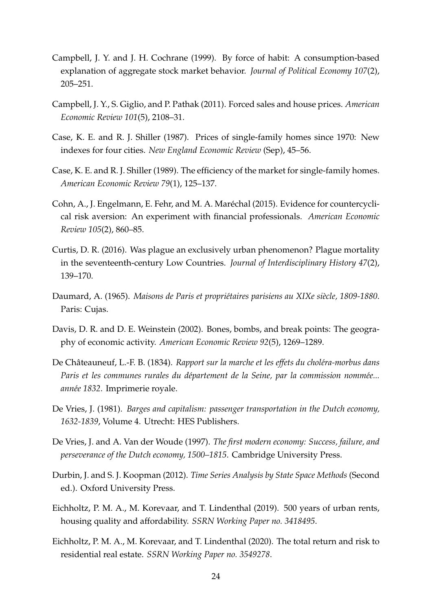- <span id="page-23-9"></span>Campbell, J. Y. and J. H. Cochrane (1999). By force of habit: A consumption-based explanation of aggregate stock market behavior. *Journal of Political Economy 107*(2), 205–251.
- <span id="page-23-11"></span>Campbell, J. Y., S. Giglio, and P. Pathak (2011). Forced sales and house prices. *American Economic Review 101*(5), 2108–31.
- <span id="page-23-6"></span>Case, K. E. and R. J. Shiller (1987). Prices of single-family homes since 1970: New indexes for four cities. *New England Economic Review* (Sep), 45–56.
- <span id="page-23-7"></span>Case, K. E. and R. J. Shiller (1989). The efficiency of the market for single-family homes. *American Economic Review 79*(1), 125–137.
- <span id="page-23-10"></span>Cohn, A., J. Engelmann, E. Fehr, and M. A. Maréchal (2015). Evidence for countercyclical risk aversion: An experiment with financial professionals. *American Economic Review 105*(2), 860–85.
- <span id="page-23-1"></span>Curtis, D. R. (2016). Was plague an exclusively urban phenomenon? Plague mortality in the seventeenth-century Low Countries. *Journal of Interdisciplinary History 47*(2), 139–170.
- <span id="page-23-12"></span>Daumard, A. (1965). *Maisons de Paris et propriétaires parisiens au XIXe siècle, 1809-1880*. Paris: Cujas.
- <span id="page-23-0"></span>Davis, D. R. and D. E. Weinstein (2002). Bones, bombs, and break points: The geography of economic activity. *American Economic Review 92*(5), 1269–1289.
- <span id="page-23-3"></span>De Châteauneuf, L.-F. B. (1834). *Rapport sur la marche et les effets du choléra-morbus dans Paris et les communes rurales du département de la Seine, par la commission nommée... ann´ee 1832*. Imprimerie royale.
- <span id="page-23-2"></span>De Vries, J. (1981). *Barges and capitalism: passenger transportation in the Dutch economy, 1632-1839*, Volume 4. Utrecht: HES Publishers.
- <span id="page-23-8"></span>De Vries, J. and A. Van der Woude (1997). *The first modern economy: Success, failure, and perseverance of the Dutch economy, 1500–1815*. Cambridge University Press.
- <span id="page-23-13"></span>Durbin, J. and S. J. Koopman (2012). *Time Series Analysis by State Space Methods* (Second ed.). Oxford University Press.
- <span id="page-23-4"></span>Eichholtz, P. M. A., M. Korevaar, and T. Lindenthal (2019). 500 years of urban rents, housing quality and affordability. *SSRN Working Paper no. 3418495*.
- <span id="page-23-5"></span>Eichholtz, P. M. A., M. Korevaar, and T. Lindenthal (2020). The total return and risk to residential real estate. *SSRN Working Paper no. 3549278*.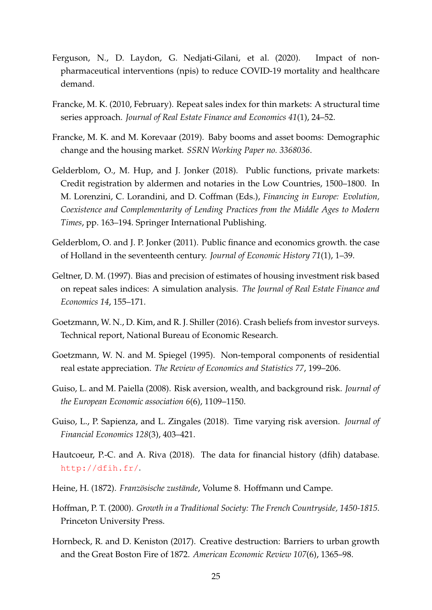- <span id="page-24-0"></span>Ferguson, N., D. Laydon, G. Nedjati-Gilani, et al. (2020). Impact of nonpharmaceutical interventions (npis) to reduce COVID-19 mortality and healthcare demand.
- <span id="page-24-7"></span>Francke, M. K. (2010, February). Repeat sales index for thin markets: A structural time series approach. *Journal of Real Estate Finance and Economics 41*(1), 24–52.
- <span id="page-24-13"></span>Francke, M. K. and M. Korevaar (2019). Baby booms and asset booms: Demographic change and the housing market. *SSRN Working Paper no. 3368036*.
- <span id="page-24-11"></span>Gelderblom, O., M. Hup, and J. Jonker (2018). Public functions, private markets: Credit registration by aldermen and notaries in the Low Countries, 1500–1800. In M. Lorenzini, C. Lorandini, and D. Coffman (Eds.), *Financing in Europe: Evolution, Coexistence and Complementarity of Lending Practices from the Middle Ages to Modern Times*, pp. 163–194. Springer International Publishing.
- <span id="page-24-4"></span>Gelderblom, O. and J. P. Jonker (2011). Public finance and economics growth. the case of Holland in the seventeenth century. *Journal of Economic History 71*(1), 1–39.
- <span id="page-24-6"></span>Geltner, D. M. (1997). Bias and precision of estimates of housing investment risk based on repeat sales indices: A simulation analysis. *The Journal of Real Estate Finance and Economics 14*, 155–171.
- <span id="page-24-1"></span>Goetzmann, W. N., D. Kim, and R. J. Shiller (2016). Crash beliefs from investor surveys. Technical report, National Bureau of Economic Research.
- <span id="page-24-8"></span>Goetzmann, W. N. and M. Spiegel (1995). Non-temporal components of residential real estate appreciation. *The Review of Economics and Statistics 77*, 199–206.
- <span id="page-24-9"></span>Guiso, L. and M. Paiella (2008). Risk aversion, wealth, and background risk. *Journal of the European Economic association 6*(6), 1109–1150.
- <span id="page-24-10"></span>Guiso, L., P. Sapienza, and L. Zingales (2018). Time varying risk aversion. *Journal of Financial Economics 128*(3), 403–421.
- <span id="page-24-5"></span>Hautcoeur, P.-C. and A. Riva (2018). The data for financial history (dfih) database. <http://dfih.fr/>.
- <span id="page-24-3"></span>Heine, H. (1872). *Französische zustände*, Volume 8. Hoffmann und Campe.
- <span id="page-24-12"></span>Hoffman, P. T. (2000). *Growth in a Traditional Society: The French Countryside, 1450-1815*. Princeton University Press.
- <span id="page-24-2"></span>Hornbeck, R. and D. Keniston (2017). Creative destruction: Barriers to urban growth and the Great Boston Fire of 1872. *American Economic Review 107*(6), 1365–98.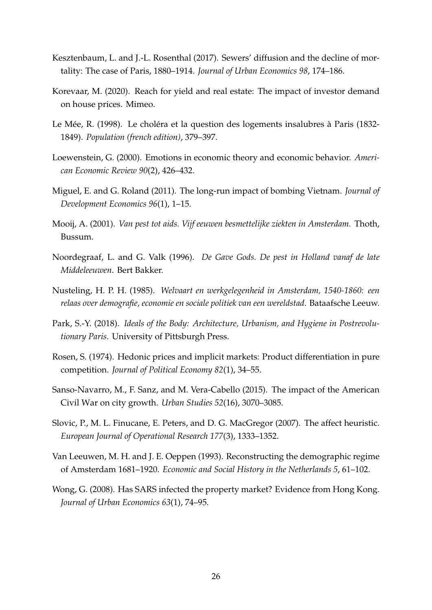- <span id="page-25-8"></span>Kesztenbaum, L. and J.-L. Rosenthal (2017). Sewers' diffusion and the decline of mortality: The case of Paris, 1880–1914. *Journal of Urban Economics 98*, 174–186.
- <span id="page-25-7"></span>Korevaar, M. (2020). Reach for yield and real estate: The impact of investor demand on house prices. Mimeo.
- <span id="page-25-6"></span>Le Mée, R. (1998). Le choléra et la question des logements insalubres à Paris (1832-1849). *Population (french edition)*, 379–397.
- <span id="page-25-12"></span>Loewenstein, G. (2000). Emotions in economic theory and economic behavior. *American Economic Review 90*(2), 426–432.
- <span id="page-25-1"></span>Miguel, E. and G. Roland (2011). The long-run impact of bombing Vietnam. *Journal of Development Economics 96*(1), 1–15.
- <span id="page-25-5"></span>Mooij, A. (2001). *Van pest tot aids. Vijf eeuwen besmettelijke ziekten in Amsterdam.* Thoth, Bussum.
- <span id="page-25-3"></span>Noordegraaf, L. and G. Valk (1996). *De Gave Gods. De pest in Holland vanaf de late Middeleeuwen*. Bert Bakker.
- <span id="page-25-10"></span>Nusteling, H. P. H. (1985). *Welvaart en werkgelegenheid in Amsterdam, 1540-1860: een relaas over demografie, economie en sociale politiek van een wereldstad*. Bataafsche Leeuw.
- <span id="page-25-11"></span>Park, S.-Y. (2018). *Ideals of the Body: Architecture, Urbanism, and Hygiene in Postrevolutionary Paris*. University of Pittsburgh Press.
- <span id="page-25-9"></span>Rosen, S. (1974). Hedonic prices and implicit markets: Product differentiation in pure competition. *Journal of Political Economy 82*(1), 34–55.
- <span id="page-25-2"></span>Sanso-Navarro, M., F. Sanz, and M. Vera-Cabello (2015). The impact of the American Civil War on city growth. *Urban Studies 52*(16), 3070–3085.
- <span id="page-25-13"></span>Slovic, P., M. L. Finucane, E. Peters, and D. G. MacGregor (2007). The affect heuristic. *European Journal of Operational Research 177*(3), 1333–1352.
- <span id="page-25-4"></span>Van Leeuwen, M. H. and J. E. Oeppen (1993). Reconstructing the demographic regime of Amsterdam 1681–1920. *Economic and Social History in the Netherlands 5*, 61–102.
- <span id="page-25-0"></span>Wong, G. (2008). Has SARS infected the property market? Evidence from Hong Kong. *Journal of Urban Economics 63*(1), 74–95.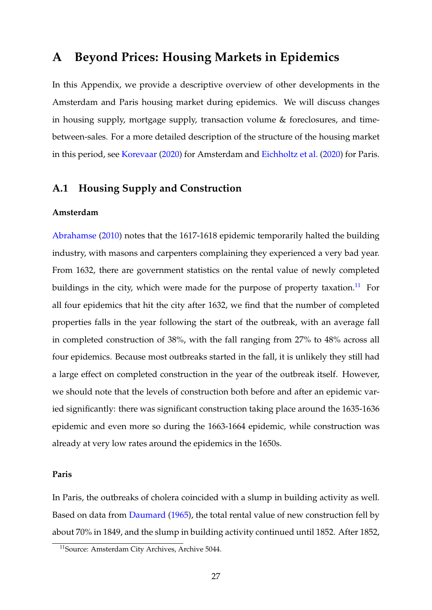## <span id="page-26-0"></span>**A Beyond Prices: Housing Markets in Epidemics**

In this Appendix, we provide a descriptive overview of other developments in the Amsterdam and Paris housing market during epidemics. We will discuss changes in housing supply, mortgage supply, transaction volume & foreclosures, and timebetween-sales. For a more detailed description of the structure of the housing market in this period, see [Korevaar](#page-25-7) [\(2020\)](#page-25-7) for Amsterdam and [Eichholtz et al.](#page-23-5) [\(2020\)](#page-23-5) for Paris.

## <span id="page-26-1"></span>**A.1 Housing Supply and Construction**

#### **Amsterdam**

[Abrahamse](#page-22-10) [\(2010\)](#page-22-10) notes that the 1617-1618 epidemic temporarily halted the building industry, with masons and carpenters complaining they experienced a very bad year. From 1632, there are government statistics on the rental value of newly completed buildings in the city, which were made for the purpose of property taxation.<sup>[11](#page-26-2)</sup> For all four epidemics that hit the city after 1632, we find that the number of completed properties falls in the year following the start of the outbreak, with an average fall in completed construction of 38%, with the fall ranging from 27% to 48% across all four epidemics. Because most outbreaks started in the fall, it is unlikely they still had a large effect on completed construction in the year of the outbreak itself. However, we should note that the levels of construction both before and after an epidemic varied significantly: there was significant construction taking place around the 1635-1636 epidemic and even more so during the 1663-1664 epidemic, while construction was already at very low rates around the epidemics in the 1650s.

#### **Paris**

In Paris, the outbreaks of cholera coincided with a slump in building activity as well. Based on data from [Daumard](#page-23-12) [\(1965\)](#page-23-12), the total rental value of new construction fell by about 70% in 1849, and the slump in building activity continued until 1852. After 1852,

<span id="page-26-2"></span><sup>11</sup>Source: Amsterdam City Archives, Archive 5044.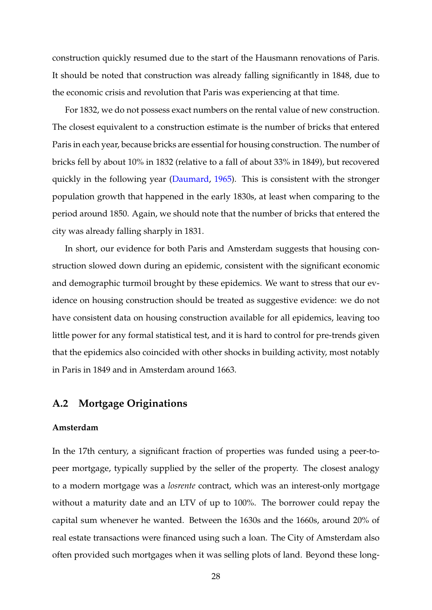construction quickly resumed due to the start of the Hausmann renovations of Paris. It should be noted that construction was already falling significantly in 1848, due to the economic crisis and revolution that Paris was experiencing at that time.

For 1832, we do not possess exact numbers on the rental value of new construction. The closest equivalent to a construction estimate is the number of bricks that entered Paris in each year, because bricks are essential for housing construction. The number of bricks fell by about 10% in 1832 (relative to a fall of about 33% in 1849), but recovered quickly in the following year [\(Daumard,](#page-23-12) [1965\)](#page-23-12). This is consistent with the stronger population growth that happened in the early 1830s, at least when comparing to the period around 1850. Again, we should note that the number of bricks that entered the city was already falling sharply in 1831.

In short, our evidence for both Paris and Amsterdam suggests that housing construction slowed down during an epidemic, consistent with the significant economic and demographic turmoil brought by these epidemics. We want to stress that our evidence on housing construction should be treated as suggestive evidence: we do not have consistent data on housing construction available for all epidemics, leaving too little power for any formal statistical test, and it is hard to control for pre-trends given that the epidemics also coincided with other shocks in building activity, most notably in Paris in 1849 and in Amsterdam around 1663.

## **A.2 Mortgage Originations**

#### **Amsterdam**

In the 17th century, a significant fraction of properties was funded using a peer-topeer mortgage, typically supplied by the seller of the property. The closest analogy to a modern mortgage was a *losrente* contract, which was an interest-only mortgage without a maturity date and an LTV of up to 100%. The borrower could repay the capital sum whenever he wanted. Between the 1630s and the 1660s, around 20% of real estate transactions were financed using such a loan. The City of Amsterdam also often provided such mortgages when it was selling plots of land. Beyond these long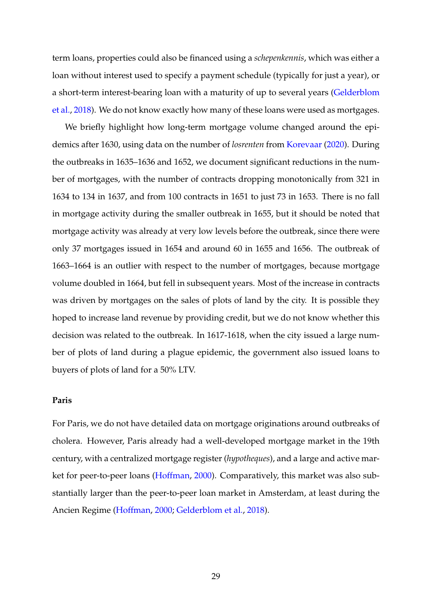term loans, properties could also be financed using a *schepenkennis*, which was either a loan without interest used to specify a payment schedule (typically for just a year), or a short-term interest-bearing loan with a maturity of up to several years [\(Gelderblom](#page-24-11) [et al.,](#page-24-11) [2018\)](#page-24-11). We do not know exactly how many of these loans were used as mortgages.

We briefly highlight how long-term mortgage volume changed around the epidemics after 1630, using data on the number of *losrenten* from [Korevaar](#page-25-7) [\(2020\)](#page-25-7). During the outbreaks in 1635–1636 and 1652, we document significant reductions in the number of mortgages, with the number of contracts dropping monotonically from 321 in 1634 to 134 in 1637, and from 100 contracts in 1651 to just 73 in 1653. There is no fall in mortgage activity during the smaller outbreak in 1655, but it should be noted that mortgage activity was already at very low levels before the outbreak, since there were only 37 mortgages issued in 1654 and around 60 in 1655 and 1656. The outbreak of 1663–1664 is an outlier with respect to the number of mortgages, because mortgage volume doubled in 1664, but fell in subsequent years. Most of the increase in contracts was driven by mortgages on the sales of plots of land by the city. It is possible they hoped to increase land revenue by providing credit, but we do not know whether this decision was related to the outbreak. In 1617-1618, when the city issued a large number of plots of land during a plague epidemic, the government also issued loans to buyers of plots of land for a 50% LTV.

### **Paris**

For Paris, we do not have detailed data on mortgage originations around outbreaks of cholera. However, Paris already had a well-developed mortgage market in the 19th century, with a centralized mortgage register (*hypotheques*), and a large and active market for peer-to-peer loans [\(Hoffman,](#page-24-12) [2000\)](#page-24-12). Comparatively, this market was also substantially larger than the peer-to-peer loan market in Amsterdam, at least during the Ancien Regime [\(Hoffman,](#page-24-12) [2000;](#page-24-12) [Gelderblom et al.,](#page-24-11) [2018\)](#page-24-11).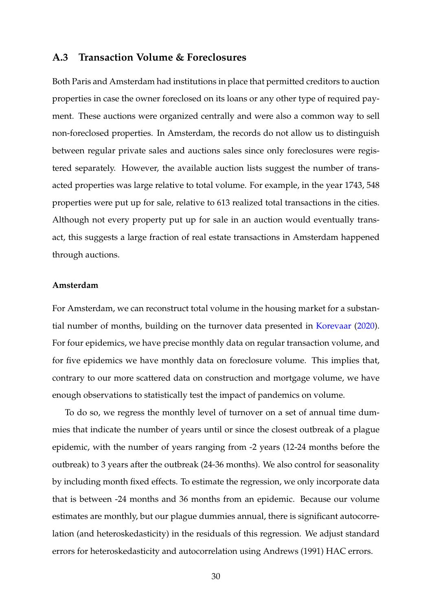### <span id="page-29-0"></span>**A.3 Transaction Volume & Foreclosures**

Both Paris and Amsterdam had institutions in place that permitted creditors to auction properties in case the owner foreclosed on its loans or any other type of required payment. These auctions were organized centrally and were also a common way to sell non-foreclosed properties. In Amsterdam, the records do not allow us to distinguish between regular private sales and auctions sales since only foreclosures were registered separately. However, the available auction lists suggest the number of transacted properties was large relative to total volume. For example, in the year 1743, 548 properties were put up for sale, relative to 613 realized total transactions in the cities. Although not every property put up for sale in an auction would eventually transact, this suggests a large fraction of real estate transactions in Amsterdam happened through auctions.

#### **Amsterdam**

For Amsterdam, we can reconstruct total volume in the housing market for a substantial number of months, building on the turnover data presented in [Korevaar](#page-25-7) [\(2020\)](#page-25-7). For four epidemics, we have precise monthly data on regular transaction volume, and for five epidemics we have monthly data on foreclosure volume. This implies that, contrary to our more scattered data on construction and mortgage volume, we have enough observations to statistically test the impact of pandemics on volume.

To do so, we regress the monthly level of turnover on a set of annual time dummies that indicate the number of years until or since the closest outbreak of a plague epidemic, with the number of years ranging from -2 years (12-24 months before the outbreak) to 3 years after the outbreak (24-36 months). We also control for seasonality by including month fixed effects. To estimate the regression, we only incorporate data that is between -24 months and 36 months from an epidemic. Because our volume estimates are monthly, but our plague dummies annual, there is significant autocorrelation (and heteroskedasticity) in the residuals of this regression. We adjust standard errors for heteroskedasticity and autocorrelation using Andrews (1991) HAC errors.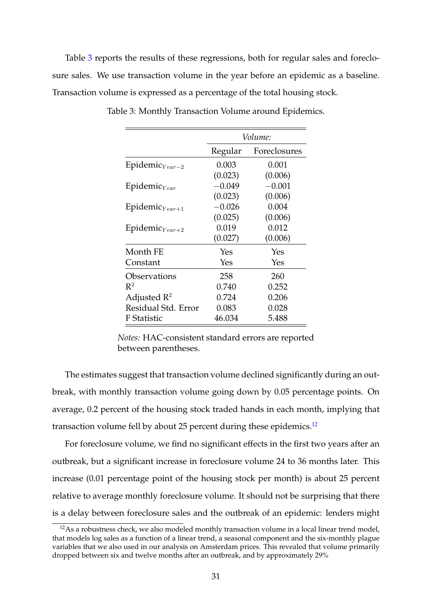Table [3](#page-30-0) reports the results of these regressions, both for regular sales and foreclosure sales. We use transaction volume in the year before an epidemic as a baseline. Transaction volume is expressed as a percentage of the total housing stock.

|                            | Volume:  |              |  |
|----------------------------|----------|--------------|--|
|                            | Regular  | Foreclosures |  |
| Epidemic $_{Year-2}$       | 0.003    | 0.001        |  |
|                            | (0.023)  | (0.006)      |  |
| Epidemic $_{Year}$         | $-0.049$ | $-0.001$     |  |
|                            | (0.023)  | (0.006)      |  |
| Epidemic $_{Year+1}$       | $-0.026$ | 0.004        |  |
|                            | (0.025)  | (0.006)      |  |
| Epidemic <sub>Year+2</sub> | 0.019    | 0.012        |  |
|                            | (0.027)  | (0.006)      |  |
| Month FE                   | Yes      | Yes          |  |
| Constant                   | Yes      | Yes          |  |
| Observations               | 258      | 260          |  |
| $\mathbb{R}^2$             | 0.740    | 0.252        |  |
| Adjusted $\mathbb{R}^2$    | 0.724    | 0.206        |  |
| Residual Std. Error        | 0.083    | 0.028        |  |
| F Statistic                | 46.034   | 5.488        |  |

<span id="page-30-0"></span>Table 3: Monthly Transaction Volume around Epidemics.

The estimates suggest that transaction volume declined significantly during an outbreak, with monthly transaction volume going down by 0.05 percentage points. On average, 0.2 percent of the housing stock traded hands in each month, implying that transaction volume fell by about 25 percent during these epidemics.<sup>[12](#page-30-1)</sup>

For foreclosure volume, we find no significant effects in the first two years after an outbreak, but a significant increase in foreclosure volume 24 to 36 months later. This increase (0.01 percentage point of the housing stock per month) is about 25 percent relative to average monthly foreclosure volume. It should not be surprising that there is a delay between foreclosure sales and the outbreak of an epidemic: lenders might

*Notes:* HAC-consistent standard errors are reported between parentheses.

<span id="page-30-1"></span><sup>&</sup>lt;sup>12</sup>As a robustness check, we also modeled monthly transaction volume in a local linear trend model, that models log sales as a function of a linear trend, a seasonal component and the six-monthly plague variables that we also used in our analysis on Amsterdam prices. This revealed that volume primarily dropped between six and twelve months after an outbreak, and by approximately 29%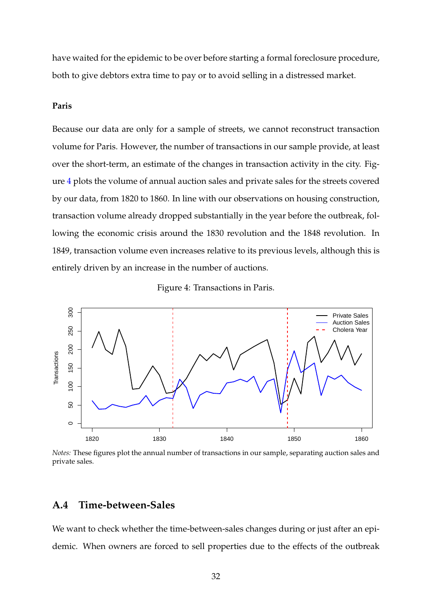have waited for the epidemic to be over before starting a formal foreclosure procedure, both to give debtors extra time to pay or to avoid selling in a distressed market.

### **Paris**

Because our data are only for a sample of streets, we cannot reconstruct transaction volume for Paris. However, the number of transactions in our sample provide, at least over the short-term, an estimate of the changes in transaction activity in the city. Figure [4](#page-31-1) plots the volume of annual auction sales and private sales for the streets covered by our data, from 1820 to 1860. In line with our observations on housing construction, transaction volume already dropped substantially in the year before the outbreak, following the economic crisis around the 1830 revolution and the 1848 revolution. In 1849, transaction volume even increases relative to its previous levels, although this is entirely driven by an increase in the number of auctions.

<span id="page-31-1"></span>



*Notes:* These figures plot the annual number of transactions in our sample, separating auction sales and private sales.

## <span id="page-31-0"></span>**A.4 Time-between-Sales**

We want to check whether the time-between-sales changes during or just after an epidemic. When owners are forced to sell properties due to the effects of the outbreak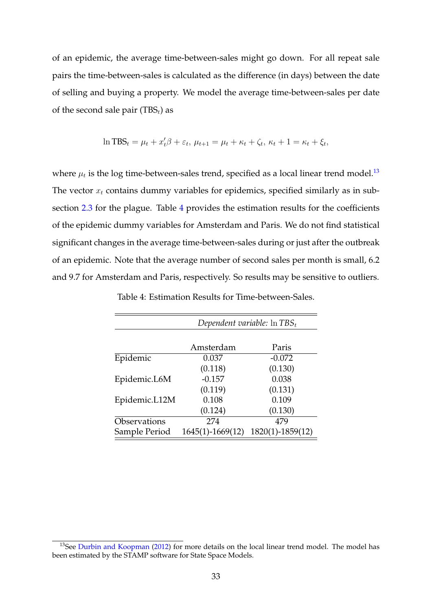of an epidemic, the average time-between-sales might go down. For all repeat sale pairs the time-between-sales is calculated as the difference (in days) between the date of selling and buying a property. We model the average time-between-sales per date of the second sale pair (TBS<sub>t</sub>) as

$$
\ln TBS_t = \mu_t + x_t'\beta + \varepsilon_t, \ \mu_{t+1} = \mu_t + \kappa_t + \zeta_t, \ \kappa_t + 1 = \kappa_t + \xi_t,
$$

where  $\mu_t$  is the log time-between-sales trend, specified as a local linear trend model. $^{13}$  $^{13}$  $^{13}$ The vector  $x_t$  contains dummy variables for epidemics, specified similarly as in sub-section [2.3](#page-12-2) for the plague. Table [4](#page-32-1) provides the estimation results for the coefficients of the epidemic dummy variables for Amsterdam and Paris. We do not find statistical significant changes in the average time-between-sales during or just after the outbreak of an epidemic. Note that the average number of second sales per month is small, 6.2 and 9.7 for Amsterdam and Paris, respectively. So results may be sensitive to outliers.

<span id="page-32-1"></span>

|               | Dependent variable: $\ln TBS_t$ |                  |  |
|---------------|---------------------------------|------------------|--|
|               |                                 |                  |  |
|               | Amsterdam                       | Paris            |  |
| Epidemic      | 0.037                           | $-0.072$         |  |
|               | (0.118)                         | (0.130)          |  |
| Epidemic.L6M  | $-0.157$                        | 0.038            |  |
|               | (0.119)                         | (0.131)          |  |
| Epidemic.L12M | 0.108                           | 0.109            |  |
|               | (0.124)                         | (0.130)          |  |
| Observations  | 274                             | 479              |  |
| Sample Period | $1645(1) - 1669(12)$            | 1820(1)-1859(12) |  |

Table 4: Estimation Results for Time-between-Sales.

<span id="page-32-0"></span><sup>&</sup>lt;sup>13</sup>See [Durbin and Koopman](#page-23-13) [\(2012\)](#page-23-13) for more details on the local linear trend model. The model has been estimated by the STAMP software for State Space Models.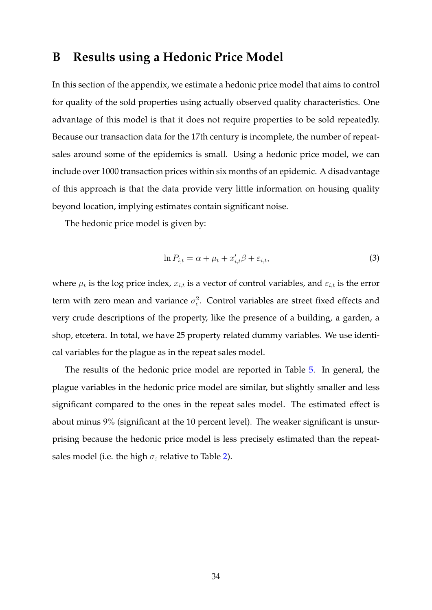## <span id="page-33-0"></span>**B Results using a Hedonic Price Model**

In this section of the appendix, we estimate a hedonic price model that aims to control for quality of the sold properties using actually observed quality characteristics. One advantage of this model is that it does not require properties to be sold repeatedly. Because our transaction data for the 17th century is incomplete, the number of repeatsales around some of the epidemics is small. Using a hedonic price model, we can include over 1000 transaction prices within six months of an epidemic. A disadvantage of this approach is that the data provide very little information on housing quality beyond location, implying estimates contain significant noise.

The hedonic price model is given by:

$$
\ln P_{i,t} = \alpha + \mu_t + x'_{i,t} \beta + \varepsilon_{i,t},\tag{3}
$$

where  $\mu_t$  is the log price index,  $x_{i,t}$  is a vector of control variables, and  $\varepsilon_{i,t}$  is the error term with zero mean and variance  $\sigma_{\epsilon}^2$ . Control variables are street fixed effects and very crude descriptions of the property, like the presence of a building, a garden, a shop, etcetera. In total, we have 25 property related dummy variables. We use identical variables for the plague as in the repeat sales model.

The results of the hedonic price model are reported in Table [5.](#page-34-0) In general, the plague variables in the hedonic price model are similar, but slightly smaller and less significant compared to the ones in the repeat sales model. The estimated effect is about minus 9% (significant at the 10 percent level). The weaker significant is unsurprising because the hedonic price model is less precisely estimated than the repeatsales model (i.e. the high  $\sigma_{\varepsilon}$  relative to Table [2\)](#page-13-0).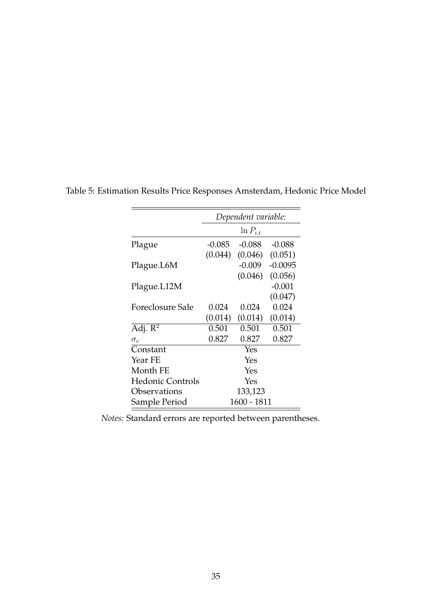|                         | Dependent variable: |               |           |  |  |
|-------------------------|---------------------|---------------|-----------|--|--|
|                         |                     | $\ln P_{i,t}$ |           |  |  |
| Plague                  | $-0.085$            | $-0.088$      | $-0.088$  |  |  |
|                         | (0.044)             | (0.046)       | (0.051)   |  |  |
| Plague.L6M              |                     | $-0.009$      | $-0.0095$ |  |  |
|                         |                     | (0.046)       | (0.056)   |  |  |
| Plague.L12M             |                     |               | $-0.001$  |  |  |
|                         |                     |               | (0.047)   |  |  |
| Foreclosure Sale        | 0.024               | 0.024         | 0.024     |  |  |
|                         | (0.014)             | (0.014)       | (0.014)   |  |  |
| Adj. $R^2$              | 0.501               | 0.501         | 0.501     |  |  |
| $\sigma_{\varepsilon}$  | 0.827               | 0.827         | 0.827     |  |  |
| Constant                |                     | Yes           |           |  |  |
| Year FE                 |                     | Yes           |           |  |  |
| Month FE                |                     | Yes           |           |  |  |
| <b>Hedonic Controls</b> |                     | Yes           |           |  |  |
| Observations            |                     | 133,123       |           |  |  |
| Sample Period           | 1600 - 1811         |               |           |  |  |

<span id="page-34-0"></span>Table 5: Estimation Results Price Responses Amsterdam, Hedonic Price Model

*Notes:* Standard errors are reported between parentheses.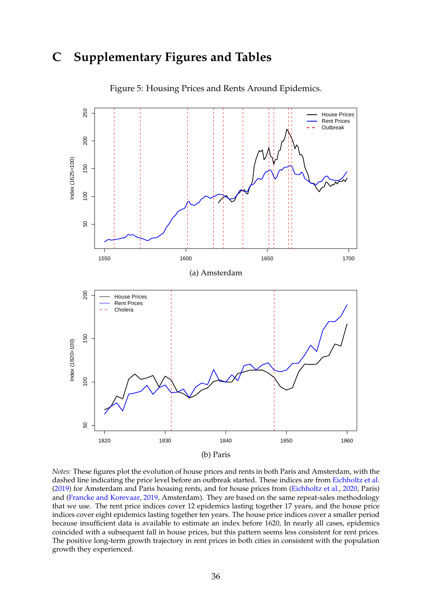## **C Supplementary Figures and Tables**

<span id="page-35-0"></span>

Figure 5: Housing Prices and Rents Around Epidemics.

*Notes:* These figures plot the evolution of house prices and rents in both Paris and Amsterdam, with the dashed line indicating the price level before an outbreak started. These indices are from [Eichholtz et al.](#page-23-4) [\(2019\)](#page-23-4) for Amsterdam and Paris housing rents, and for house prices from [\(Eichholtz et al.,](#page-23-5) [2020,](#page-23-5) Paris) and [\(Francke and Korevaar,](#page-24-13) [2019,](#page-24-13) Amsterdam). They are based on the same repeat-sales methodology that we use. The rent price indices cover 12 epidemics lasting together 17 years, and the house price indices cover eight epidemics lasting together ten years. The house price indices cover a smaller period because insufficient data is available to estimate an index before 1620, In nearly all cases, epidemics coincided with a subsequent fall in house prices, but this pattern seems less consistent for rent prices. The positive long-term growth trajectory in rent prices in both cities in consistent with the population growth they experienced.